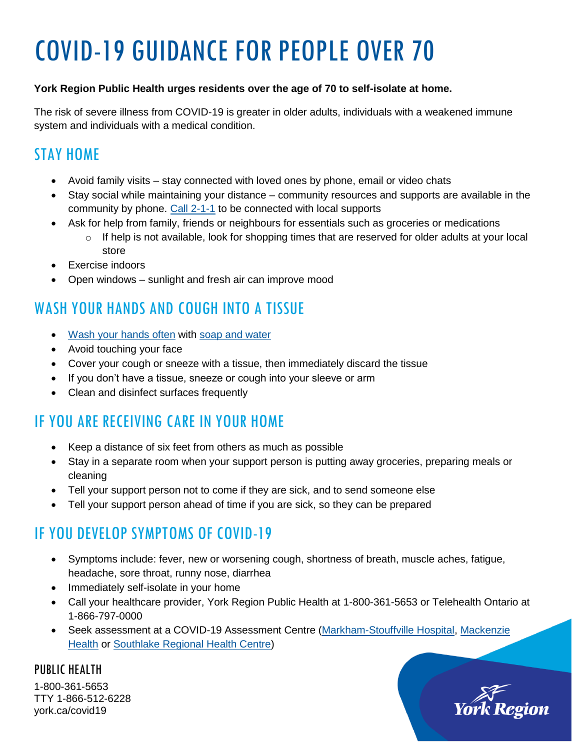# COVID-19 GUIDANCE FOR PEOPLE OVER 70

#### **York Region Public Health urges residents over the age of 70 to self-isolate at home.**

The risk of severe illness from COVID-19 is greater in older adults, individuals with a weakened immune system and individuals with a medical condition.

# STAY HOME

- Avoid family visits stay connected with loved ones by phone, email or video chats
- Stay social while maintaining your distance community resources and supports are available in the community by phone. [Call 2-1-1](http://211.ca/) to be connected with local supports
- Ask for help from family, friends or neighbours for essentials such as groceries or medications
	- $\circ$  If help is not available, look for shopping times that are reserved for older adults at your local store
- Exercise indoors
- Open windows sunlight and fresh air can improve mood

# WASH YOUR HANDS AND COUGH INTO A TISSUE

- [Wash your hands often](https://www.youtube.com/watch?v=6uBq_3eaagg&feature=youtu.be) with [soap and water](https://www.york.ca/wps/wcm/connect/yorkpublic/5637cc20-d777-496f-a57d-0754abe81490/202032-10d_lowerYourRisk_8-5x11.pdf?MOD=AJPERES&CVID=n4SA6RO)
- Avoid touching your face
- Cover your cough or sneeze with a tissue, then immediately discard the tissue
- If you don't have a tissue, sneeze or cough into your sleeve or arm
- Clean and disinfect surfaces frequently

# IF YOU ARE RECEIVING CARE IN YOUR HOME

- Keep a distance of six feet from others as much as possible
- Stay in a separate room when your support person is putting away groceries, preparing meals or cleaning
- Tell your support person not to come if they are sick, and to send someone else
- Tell your support person ahead of time if you are sick, so they can be prepared

# IF YOU DEVELOP SYMPTOMS OF COVID-19

- Symptoms include: fever, new or worsening cough, shortness of breath, muscle aches, fatigue, headache, sore throat, runny nose, diarrhea
- Immediately self-isolate in your home
- Call your healthcare provider, York Region Public Health at 1-800-361-5653 or Telehealth Ontario at 1-866-797-0000
- Seek assessment at a COVID-19 Assessment Centre [\(Markham-Stouffville Hospital,](https://www.msh.on.ca/about-us/covid-19-information-page#assessment) [Mackenzie](https://www.mackenziehealth.ca/en/about-us/get-the-latest-information-on-covid-19.aspx)  [Health](https://www.mackenziehealth.ca/en/about-us/get-the-latest-information-on-covid-19.aspx) or [Southlake Regional Health Centre\)](https://southlake.ca/news/coronavirus-2019-ncov/)

PUBLIC HEALTH 1-800-361-5653 TTY 1-866-512-6228 york.ca/covid19